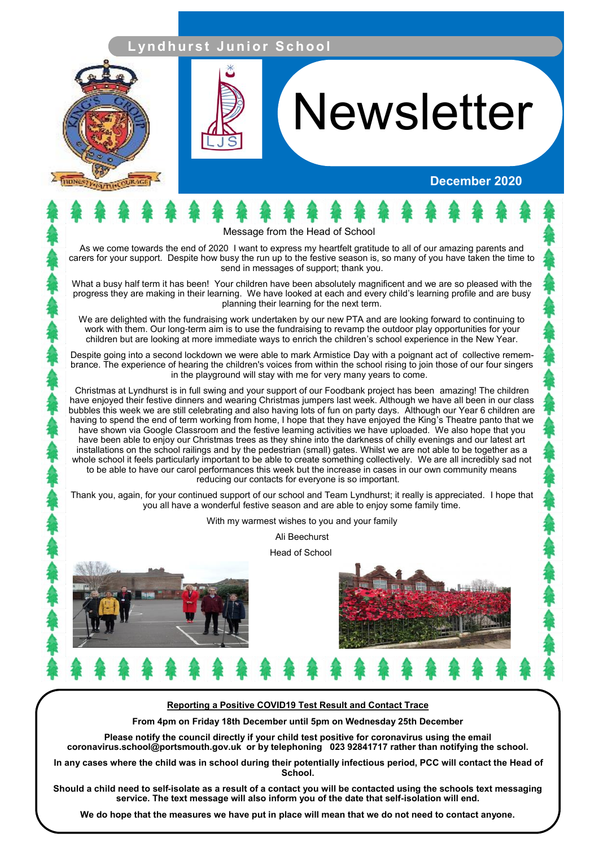## **L yn d h u r s t J u n i o r S c h o o l**



# **Newsletter**

#### **December 2020**

Message from the Head of School

As we come towards the end of 2020 I want to express my heartfelt gratitude to all of our amazing parents and carers for your support. Despite how busy the run up to the festive season is, so many of you have taken the time to send in messages of support; thank you.

What a busy half term it has been! Your children have been absolutely magnificent and we are so pleased with the progress they are making in their learning. We have looked at each and every child's learning profile and are busy planning their learning for the next term.

We are delighted with the fundraising work undertaken by our new PTA and are looking forward to continuing to work with them. Our long-term aim is to use the fundraising to revamp the outdoor play opportunities for your children but are looking at more immediate ways to enrich the children's school experience in the New Year.

Despite going into a second lockdown we were able to mark Armistice Day with a poignant act of collective remembrance. The experience of hearing the children's voices from within the school rising to join those of our four singers in the playground will stay with me for very many years to come.

Christmas at Lyndhurst is in full swing and your support of our Foodbank project has been amazing! The children have enjoyed their festive dinners and wearing Christmas jumpers last week. Although we have all been in our class bubbles this week we are still celebrating and also having lots of fun on party days. Although our Year 6 children are having to spend the end of term working from home, I hope that they have enjoyed the King's Theatre panto that we have shown via Google Classroom and the festive learning activities we have uploaded. We also hope that you have been able to enjoy our Christmas trees as they shine into the darkness of chilly evenings and our latest art installations on the school railings and by the pedestrian (small) gates. Whilst we are not able to be together as a whole school it feels particularly important to be able to create something collectively. We are all incredibly sad not to be able to have our carol performances this week but the increase in cases in our own community means reducing our contacts for everyone is so important.

Thank you, again, for your continued support of our school and Team Lyndhurst; it really is appreciated. I hope that you all have a wonderful festive season and are able to enjoy some family time.

With my warmest wishes to you and your family

Ali Beechurst

Head of School



#### **Reporting a Positive COVID19 Test Result and Contact Trace**

**From 4pm on Friday 18th December until 5pm on Wednesday 25th December** 

**Please notify the council directly if your child test positive for coronavirus using the email coronavirus.school@portsmouth.gov.uk or by telephoning 023 92841717 rather than notifying the school.**

**In any cases where the child was in school during their potentially infectious period, PCC will contact the Head of School.**

**Should a child need to self-isolate as a result of a contact you will be contacted using the schools text messaging service. The text message will also inform you of the date that self-isolation will end.**

**We do hope that the measures we have put in place will mean that we do not need to contact anyone.**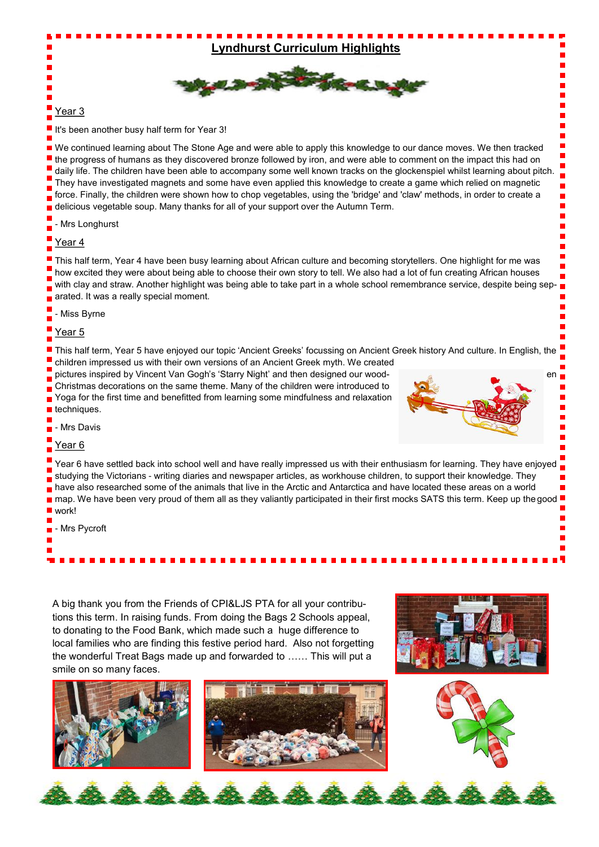

#### Year 3

It's been another busy half term for Year 3!

We continued learning about The Stone Age and were able to apply this knowledge to our dance moves. We then tracked the progress of humans as they discovered bronze followed by iron, and were able to comment on the impact this had on daily life. The children have been able to accompany some well known tracks on the glockenspiel whilst learning about pitch. They have investigated magnets and some have even applied this knowledge to create a game which relied on magnetic force. Finally, the children were shown how to chop vegetables, using the 'bridge' and 'claw' methods, in order to create a delicious vegetable soup. Many thanks for all of your support over the Autumn Term.

- Mrs Longhurst

#### Year 4

This half term, Year 4 have been busy learning about African culture and becoming storytellers. One highlight for me was how excited they were about being able to choose their own story to tell. We also had a lot of fun creating African houses with clay and straw. Another highlight was being able to take part in a whole school remembrance service, despite being separated. It was a really special moment.

- Miss Byrne

Year 5

This half term, Year 5 have enjoyed our topic 'Ancient Greeks' focussing on Ancient Greek history And culture. In English, the

children impressed us with their own versions of an Ancient Greek myth. We created pictures inspired by Vincent Van Gogh's 'Starry Night' and then designed our wood-Christmas decorations on the same theme. Many of the children were introduced to Yoga for the first time and benefitted from learning some mindfulness and relaxation techniques.



- Mrs Davis

#### Year<sub>6</sub>

Year 6 have settled back into school well and have really impressed us with their enthusiasm for learning. They have enjoyed studying the Victorians - writing diaries and newspaper articles, as workhouse children, to support their knowledge. They have also researched some of the animals that live in the Arctic and Antarctica and have located these areas on a world map. We have been very proud of them all as they valiantly participated in their first mocks SATS this term. Keep up the good work!

- Mrs Pycroft

A big thank you from the Friends of CPI&LJS PTA for all your contributions this term. In raising funds. From doing the Bags 2 Schools appeal, to donating to the Food Bank, which made such a huge difference to local families who are finding this festive period hard. Also not forgetting the wonderful Treat Bags made up and forwarded to …… This will put a smile on so many faces.